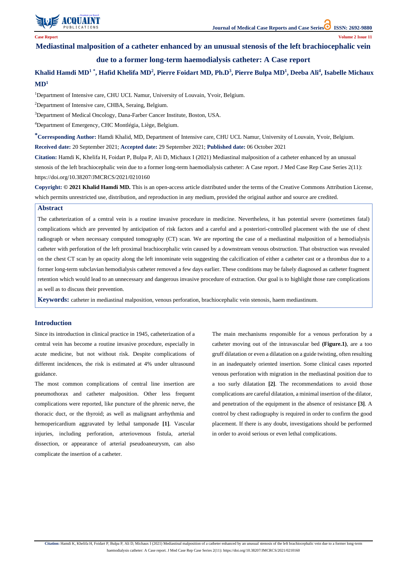

**Citation:** Hamdi K, Khelifa H, Foidart P, Bulpa P, Ali D, Michaux I (2021) Mediastinal malposition of a catheter enhanced by an unusual stenosis of the left brachiocephalic vein due to a former long-term

haemodialysis catheter: A Case report. J Med Case Rep Case Series 2(11): https://doi.org/10.38207/JMCRCS/2021/0210160

**Mediastinal malposition of a catheter enhanced by an unusual stenosis of the left brachiocephalic vein** 

## **due to a former long-term haemodialysis catheter: A Case report**

# **Khalid Hamdi MD<sup>1</sup> \* , Hafid Khelifa MD<sup>2</sup> , Pierre Foidart MD, Ph.D<sup>3</sup> , Pierre Bulpa MD<sup>1</sup> , Deeba Ali<sup>4</sup> , Isabelle Michaux MD<sup>1</sup>**

<sup>1</sup>Department of Intensive care, CHU UCL Namur, University of Louvain, Yvoir, Belgium.

<sup>2</sup>Department of Intensive care, CHBA, Seraing, Belgium.

<sup>3</sup>Department of Medical Oncology, Dana-Farber Cancer Institute, Boston, USA.

<sup>4</sup>Department of Emergency, CHC Montlégia, Liège, Belgium.

**\*Corresponding Author:** Hamdi Khalid, MD, Department of Intensive care, CHU UCL Namur, University of Louvain, Yvoir, Belgium. **Received date:** 20 September 2021; **Accepted date:** 29 September 2021; **Published date:** 06 October 2021

**Citation:** Hamdi K, Khelifa H, Foidart P, Bulpa P, Ali D, Michaux I (2021) Mediastinal malposition of a catheter enhanced by an unusual stenosis of the left brachiocephalic vein due to a former long-term haemodialysis catheter: A Case report. J Med Case Rep Case Series 2(11): https://doi.org/10.38207/JMCRCS/2021/0210160

**Copyright: © 2021 Khalid Hamdi MD.** This is an open-access article distributed under the terms of the Creative Commons Attribution License, which permits unrestricted use, distribution, and reproduction in any medium, provided the original author and source are credited.

### **Introduction**

Since its introduction in clinical practice in 1945, catheterization of a central vein has become a routine invasive procedure, especially in acute medicine, but not without risk. Despite complications of different incidences, the risk is estimated at 4% under ultrasound guidance.

The most common complications of central line insertion are pneumothorax and catheter malposition. Other less frequent complications were reported, like puncture of the phrenic nerve, the thoracic duct, or the thyroid; as well as malignant arrhythmia and hemopericardium aggravated by lethal tamponade **[1]**. Vascular injuries, including perforation, arteriovenous fistula, arterial

dissection, or appearance of arterial pseudoaneurysm, can also complicate the insertion of a catheter.

The main mechanisms responsible for a venous perforation by a catheter moving out of the intravascular bed **(Figure.1)**, are a too gruff dilatation or even a dilatation on a guide twisting, often resulting in an inadequately oriented insertion. Some clinical cases reported venous perforation with migration in the mediastinal position due to a too surly dilatation **[2]**. The recommendations to avoid those complications are careful dilatation, a minimal insertion of the dilator, and penetration of the equipment in the absence of resistance **[3]**. A control by chest radiography is required in order to confirm the good placement. If there is any doubt, investigations should be performed in order to avoid serious or even lethal complications.

#### **Abstract**

The catheterization of a central vein is a routine invasive procedure in medicine. Nevertheless, it has potential severe (sometimes fatal) complications which are prevented by anticipation of risk factors and a careful and a posteriori-controlled placement with the use of chest radiograph or when necessary computed tomography (CT) scan. We are reporting the case of a mediastinal malposition of a hemodialysis catheter with perforation of the left proximal brachiocephalic vein caused by a downstream venous obstruction. That obstruction was revealed on the chest CT scan by an opacity along the left innominate vein suggesting the calcification of either a catheter cast or a thrombus due to a former long-term subclavian hemodialysis catheter removed a few days earlier. These conditions may be falsely diagnosed as catheter fragment retention which would lead to an unnecessary and dangerous invasive procedure of extraction. Our goal is to highlight those rare complications as well as to discuss their prevention.

**Keywords:** catheter in mediastinal malposition, venous perforation, brachiocephalic vein stenosis, haem mediastinum.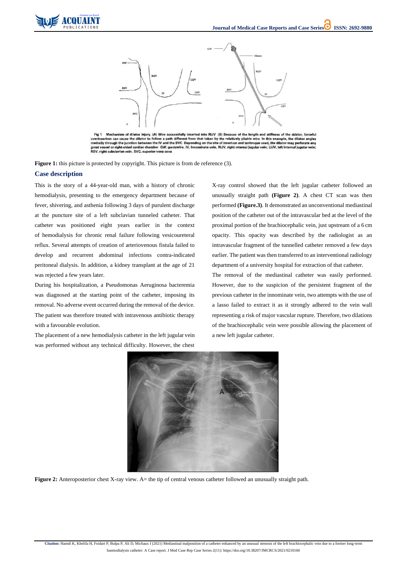



Fig 1 Mechanism of dilator injury. (A) Wire successfully inserted into RIJV (B) Because of the length and stiffness of the dilator, forceful overinsertion can cause the dilator to follow a path different from that taken by the relatively pliable wire In this example, the dilator angles medially through the junction between the IV and the SVC Depending on the site of insertion and technique used, the dilator may perforate any great vessel or right-sided cardiac chamber GW, guıdewire, IV, innominate vein, RIJV, right ınternal jugular vein; LIJV, left internal jugular vein; RSV, right subclavian vein, SVC, superior vena cava

**Figure 1:** this picture is protected by copyright. This picture is from de reference (3).

**Citation:** Hamdi K, Khelifa H, Foidart P, Bulpa P, Ali D, Michaux I (2021) Mediastinal malposition of a catheter enhanced by an unusual stenosis of the left brachiocephalic vein due to a former long-term

haemodialysis catheter: A Case report. J Med Case Rep Case Series 2(11): https://doi.org/10.38207/JMCRCS/2021/0210160

### **Case description**

This is the story of a 44-year-old man, with a history of chronic hemodialysis, presenting to the emergency department because of fever, shivering, and asthenia following 3 days of purulent discharge at the puncture site of a left subclavian tunneled catheter. That catheter was positioned eight years earlier in the context of hemodialysis for chronic renal failure following vesicoureteral reflux. Several attempts of creation of arteriovenous fistula failed to develop and recurrent abdominal infections contra-indicated peritoneal dialysis. In addition, a kidney transplant at the age of 21 was rejected a few years later.

During his hospitalization, a Pseudomonas Aeruginosa bacteremia was diagnosed at the starting point of the catheter, imposing its removal. No adverse event occurred during the removal of the device. The patient was therefore treated with intravenous antibiotic therapy with a favourable evolution.

The placement of a new hemodialysis catheter in the left jugular vein was performed without any technical difficulty. However, the chest X-ray control showed that the left jugular catheter followed an unusually straight path **(Figure 2)**. A chest CT scan was then performed **(Figure.3)**. It demonstrated an unconventional mediastinal position of the catheter out of the intravascular bed at the level of the proximal portion of the brachiocephalic vein, just upstream of a 6 cm opacity. This opacity was described by the radiologist as an intravascular fragment of the tunnelled catheter removed a few days earlier. The patient was then transferred to an interventional radiology department of a university hospital for extraction of that catheter.

The removal of the mediastinal catheter was easily performed. However, due to the suspicion of the persistent fragment of the previous catheter in the innominate vein, two attempts with the use of a lasso failed to extract it as it strongly adhered to the vein wall representing a risk of major vascular rupture. Therefore, two dilations of the brachiocephalic vein were possible allowing the placement of a new left jugular catheter.



**Figure 2:** Anteroposterior chest X-ray view. A= the tip of central venous catheter followed an unusually straight path.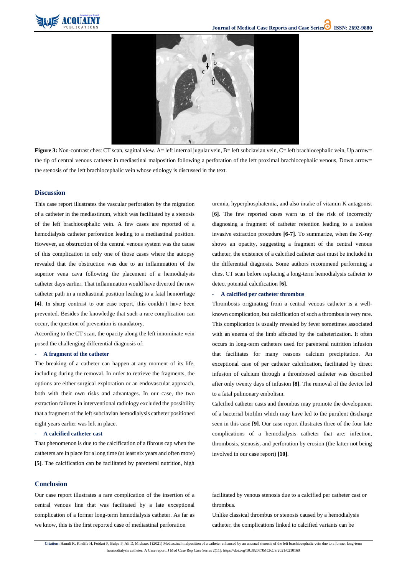

**Citation:** Hamdi K, Khelifa H, Foidart P, Bulpa P, Ali D, Michaux I (2021) Mediastinal malposition of a catheter enhanced by an unusual stenosis of the left brachiocephalic vein due to a former long-term haemodialysis catheter: A Case report. J Med Case Rep Case Series 2(11): https://doi.org/10.38207/JMCRCS/2021/0210160



Figure 3: Non-contrast chest CT scan, sagittal view. A= left internal jugular vein, B= left subclavian vein, C= left brachiocephalic vein, Up arrow= the tip of central venous catheter in mediastinal malposition following a perforation of the left proximal brachiocephalic venous, Down arrow= the stenosis of the left brachiocephalic vein whose etiology is discussed in the text.

#### **Discussion**

This case report illustrates the vascular perforation by the migration of a catheter in the mediastinum, which was facilitated by a stenosis of the left brachiocephalic vein. A few cases are reported of a hemodialysis catheter perforation leading to a mediastinal position. However, an obstruction of the central venous system was the cause of this complication in only one of those cases where the autopsy revealed that the obstruction was due to an inflammation of the superior vena cava following the placement of a hemodialysis catheter days earlier. That inflammation would have diverted the new catheter path in a mediastinal position leading to a fatal hemorrhage **[4]**. In sharp contrast to our case report, this couldn't have been prevented. Besides the knowledge that such a rare complication can occur, the question of prevention is mandatory.

According to the CT scan, the opacity along the left innominate vein posed the challenging differential diagnosis of:

#### - **A fragment of the catheter**

The breaking of a catheter can happen at any moment of its life, including during the removal. In order to retrieve the fragments, the options are either surgical exploration or an endovascular approach, both with their own risks and advantages. In our case, the two extraction failures in interventional radiology excluded the possibility that a fragment of the left subclavian hemodialysis catheter positioned eight years earlier was left in place.

#### - **A calcified catheter cast**

That phenomenon is due to the calcification of a fibrous cap when the catheters are in place for a long time (at least six years and often more) **[5]**. The calcification can be facilitated by parenteral nutrition, high uremia, hyperphosphatemia, and also intake of vitamin K antagonist **[6]**. The few reported cases warn us of the risk of incorrectly diagnosing a fragment of catheter retention leading to a useless invasive extraction procedure **[6-7]**. To summarize, when the X-ray shows an opacity, suggesting a fragment of the central venous catheter, the existence of a calcified catheter cast must be included in the differential diagnosis. Some authors recommend performing a chest CT scan before replacing a long-term hemodialysis catheter to detect potential calcification **[6]**.

#### - **A calcified per catheter thrombus**

Thrombosis originating from a central venous catheter is a wellknown complication, but calcification of such a thrombus is very rare. This complication is usually revealed by fever sometimes associated with an enema of the limb affected by the catheterization. It often occurs in long-term catheters used for parenteral nutrition infusion that facilitates for many reasons calcium precipitation. An exceptional case of per catheter calcification, facilitated by direct infusion of calcium through a thrombosed catheter was described after only twenty days of infusion **[8]**. The removal of the device led to a fatal pulmonary embolism.

Calcified catheter casts and thrombus may promote the development of a bacterial biofilm which may have led to the purulent discharge seen in this case **[9]**. Our case report illustrates three of the four late complications of a hemodialysis catheter that are: infection, thrombosis, stenosis, and perforation by erosion (the latter not being involved in our case report) **[10]**.

**Conclusion**

Our case report illustrates a rare complication of the insertion of a central venous line that was facilitated by a late exceptional complication of a former long-term hemodialysis catheter. As far as we know, this is the first reported case of mediastinal perforation

facilitated by venous stenosis due to a calcified per catheter cast or thrombus.

Unlike classical thrombus or stenosis caused by a hemodialysis catheter, the complications linked to calcified variants can be